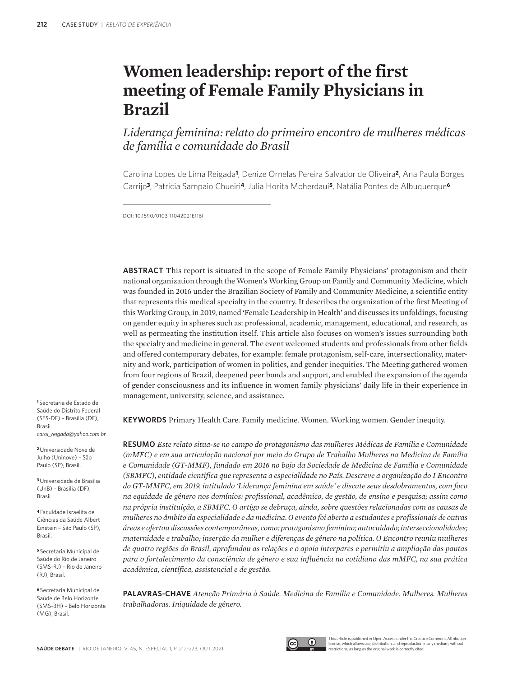# **Women leadership: report of the first meeting of Female Family Physicians in Brazil**

*Liderança feminina: relato do primeiro encontro de mulheres médicas de família e comunidade do Brasil*

Carolina Lopes de Lima Reigada**1**, Denize Ornelas Pereira Salvador de Oliveira**2**, Ana Paula Borges Carrijo**3**, Patrícia Sampaio Chueiri**4**, Julia Horita Moherdaui**5**, Natália Pontes de Albuquerque**<sup>6</sup>**

DOI: 10.1590/0103-11042021E116I

**ABSTRACT** This report is situated in the scope of Female Family Physicians' protagonism and their national organization through the Women's Working Group on Family and Community Medicine, which was founded in 2016 under the Brazilian Society of Family and Community Medicine, a scientific entity that represents this medical specialty in the country. It describes the organization of the first Meeting of this Working Group, in 2019, named 'Female Leadership in Health' and discusses its unfoldings, focusing on gender equity in spheres such as: professional, academic, management, educational, and research, as well as permeating the institution itself. This article also focuses on women's issues surrounding both the specialty and medicine in general. The event welcomed students and professionals from other fields and offered contemporary debates, for example: female protagonism, self-care, intersectionality, maternity and work, participation of women in politics, and gender inequities. The Meeting gathered women from four regions of Brazil, deepened peer bonds and support, and enabled the expansion of the agenda of gender consciousness and its influence in women family physicians' daily life in their experience in management, university, science, and assistance.

**KEYWORDS** Primary Health Care. Family medicine. Women. Working women. Gender inequity.

**RESUMO** *Este relato situa-se no campo do protagonismo das mulheres Médicas de Família e Comunidade (mMFC) e em sua articulação nacional por meio do Grupo de Trabalho Mulheres na Medicina de Família e Comunidade (GT-MMF), fundado em 2016 no bojo da Sociedade de Medicina de Família e Comunidade (SBMFC), entidade científica que representa a especialidade no País. Descreve a organização do I Encontro do GT-MMFC, em 2019, intitulado 'Liderança feminina em saúde' e discute seus desdobramentos, com foco na equidade de gênero nos domínios: profissional, acadêmico, de gestão, de ensino e pesquisa; assim como na própria instituição, a SBMFC. O artigo se debruça, ainda, sobre questões relacionadas com as causas de mulheres no âmbito da especialidade e da medicina. O evento foi aberto a estudantes e profissionais de outras áreas e ofertou discussões contemporâneas, como: protagonismo feminino; autocuidado; interseccionalidades; maternidade e trabalho; inserção da mulher e diferenças de gênero na política. O Encontro reuniu mulheres de quatro regiões do Brasil, aprofundou as relações e o apoio interpares e permitiu a ampliação das pautas para o fortalecimento da consciência de gênero e sua influência no cotidiano das mMFC, na sua prática acadêmica, científica, assistencial e de gestão.*

**PALAVRAS-CHAVE** *Atenção Primária à Saúde. Medicina de Família e Comunidade. Mulheres. Mulheres trabalhadoras. Iniquidade de gênero.*

**<sup>1</sup>**Secretaria de Estado de Saúde do Distrito Federal (SES-DF) – Brasília (DF), Brasil. *carol\_reigada@yahoo.com.br*

**<sup>2</sup>**Universidade Nove de Julho (Uninove) – São Paulo (SP), Brasil.

**<sup>3</sup>**Universidade de Brasília (UnB) – Brasília (DF), Brasil.

**<sup>4</sup>**Faculdade Israelita de Ciências da Saúde Albert Einstein – São Paulo (SP), Brasil.

**<sup>5</sup>**Secretaria Municipal de Saúde do Rio de Janeiro (SMS-RJ) – Rio de Janeiro (RJ), Brasil.

**<sup>6</sup>**Secretaria Municipal de Saúde de Belo Horizonte (SMS-BH) – Belo Horizonte (MG), Brasil.



This article is published in Open Access under the Creative Commons Attributio license, which allows use, distribution, and reproduction in any medium, without restrictions, as long as the original work is correctly cited.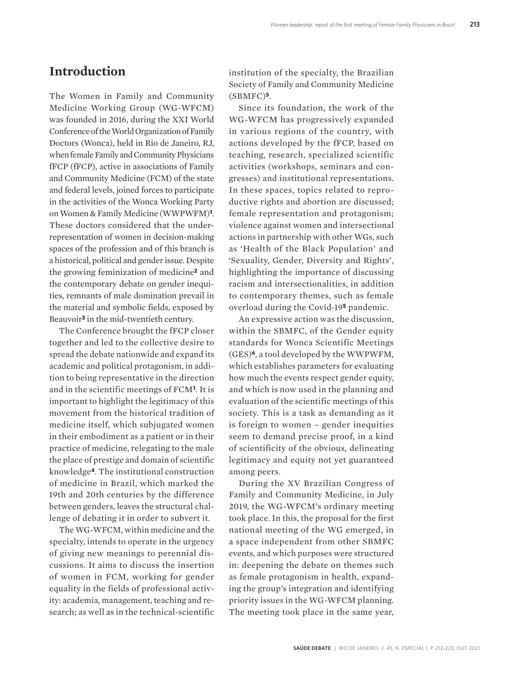#### **Introduction**

The Women in Family and Community Medicine Working Group (WG-WFCM) was founded in 2016, during the XXI World Conference of the World Organization of Family Doctors (Wonca), held in Rio de Janeiro, RJ, when female Family and Community Physicians fFCP (fFCP), active in associations of Family and Community Medicine (FCM) of the state and federal levels, joined forces to participate in the activities of the Wonca Working Party on Women & Family Medicine (WWPWFM)**1**. These doctors considered that the underrepresentation of women in decision-making spaces of the profession and of this branch is a historical, political and gender issue. Despite the growing feminization of medicine**2** and the contemporary debate on gender inequities, remnants of male domination prevail in the material and symbolic fields, exposed by Beauvoir**3** in the mid-twentieth century.

The Conference brought the fFCP closer together and led to the collective desire to spread the debate nationwide and expand its academic and political protagonism, in addition to being representative in the direction and in the scientific meetings of FCM**1**. It is important to highlight the legitimacy of this movement from the historical tradition of medicine itself, which subjugated women in their embodiment as a patient or in their practice of medicine, relegating to the male the place of prestige and domain of scientific knowledge**4**. The institutional construction of medicine in Brazil, which marked the 19th and 20th centuries by the difference between genders, leaves the structural challenge of debating it in order to subvert it.

The WG-WFCM, within medicine and the specialty, intends to operate in the urgency of giving new meanings to perennial discussions. It aims to discuss the insertion of women in FCM, working for gender equality in the fields of professional activity: academia, management, teaching and research; as well as in the technical-scientific

institution of the specialty, the Brazilian Society of Family and Community Medicine (SBMFC)**5**.

Since its foundation, the work of the WG-WFCM has progressively expanded in various regions of the country, with actions developed by the fFCP, based on teaching, research, specialized scientific activities (workshops, seminars and congresses) and institutional representations. In these spaces, topics related to reproductive rights and abortion are discussed; female representation and protagonism; violence against women and intersectional actions in partnership with other WGs, such as 'Health of the Black Population' and 'Sexuality, Gender, Diversity and Rights', highlighting the importance of discussing racism and intersectionalities, in addition to contemporary themes, such as female overload during the Covid-19**5** pandemic.

An expressive action was the discussion, within the SBMFC, of the Gender equity standards for Wonca Scientific Meetings (GES)**6**, a tool developed by the WWPWFM, which establishes parameters for evaluating how much the events respect gender equity, and which is now used in the planning and evaluation of the scientific meetings of this society. This is a task as demanding as it is foreign to women – gender inequities seem to demand precise proof, in a kind of scientificity of the obvious, delineating legitimacy and equity not yet guaranteed among peers.

During the XV Brazilian Congress of Family and Community Medicine, in July 2019, the WG-WFCM's ordinary meeting took place. In this, the proposal for the first national meeting of the WG emerged, in a space independent from other SBMFC events, and which purposes were structured in: deepening the debate on themes such as female protagonism in health, expanding the group's integration and identifying priority issues in the WG-WFCM planning. The meeting took place in the same year,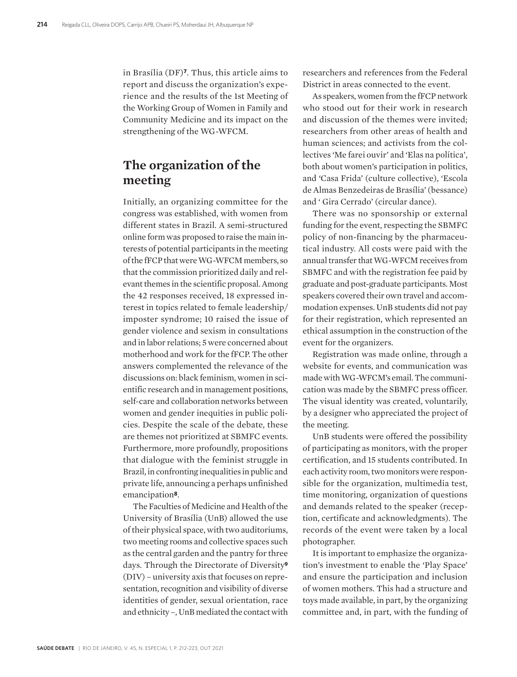in Brasília (DF)**7**. Thus, this article aims to report and discuss the organization's experience and the results of the 1st Meeting of the Working Group of Women in Family and Community Medicine and its impact on the strengthening of the WG-WFCM.

#### **The organization of the meeting**

Initially, an organizing committee for the congress was established, with women from different states in Brazil. A semi-structured online form was proposed to raise the main interests of potential participants in the meeting of the fFCP that were WG-WFCM members, so that the commission prioritized daily and relevant themes in the scientific proposal. Among the 42 responses received, 18 expressed interest in topics related to female leadership/ imposter syndrome; 10 raised the issue of gender violence and sexism in consultations and in labor relations; 5 were concerned about motherhood and work for the fFCP. The other answers complemented the relevance of the discussions on: black feminism, women in scientific research and in management positions, self-care and collaboration networks between women and gender inequities in public policies. Despite the scale of the debate, these are themes not prioritized at SBMFC events. Furthermore, more profoundly, propositions that dialogue with the feminist struggle in Brazil, in confronting inequalities in public and private life, announcing a perhaps unfinished emancipation**8**.

The Faculties of Medicine and Health of the University of Brasília (UnB) allowed the use of their physical space, with two auditoriums, two meeting rooms and collective spaces such as the central garden and the pantry for three days. Through the Directorate of Diversity**<sup>9</sup>** (DIV) – university axis that focuses on representation, recognition and visibility of diverse identities of gender, sexual orientation, race and ethnicity –, UnB mediated the contact with

researchers and references from the Federal District in areas connected to the event.

As speakers, women from the fFCP network who stood out for their work in research and discussion of the themes were invited; researchers from other areas of health and human sciences; and activists from the collectives 'Me farei ouvir' and 'Elas na política', both about women's participation in politics, and 'Casa Frida' (culture collective), 'Escola de Almas Benzedeiras de Brasília' (bessance) and ' Gira Cerrado' (circular dance).

There was no sponsorship or external funding for the event, respecting the SBMFC policy of non-financing by the pharmaceutical industry. All costs were paid with the annual transfer that WG-WFCM receives from SBMFC and with the registration fee paid by graduate and post-graduate participants. Most speakers covered their own travel and accommodation expenses. UnB students did not pay for their registration, which represented an ethical assumption in the construction of the event for the organizers.

Registration was made online, through a website for events, and communication was made with WG-WFCM's email. The communication was made by the SBMFC press officer. The visual identity was created, voluntarily, by a designer who appreciated the project of the meeting.

UnB students were offered the possibility of participating as monitors, with the proper certification, and 15 students contributed. In each activity room, two monitors were responsible for the organization, multimedia test, time monitoring, organization of questions and demands related to the speaker (reception, certificate and acknowledgments). The records of the event were taken by a local photographer.

It is important to emphasize the organization's investment to enable the 'Play Space' and ensure the participation and inclusion of women mothers. This had a structure and toys made available, in part, by the organizing committee and, in part, with the funding of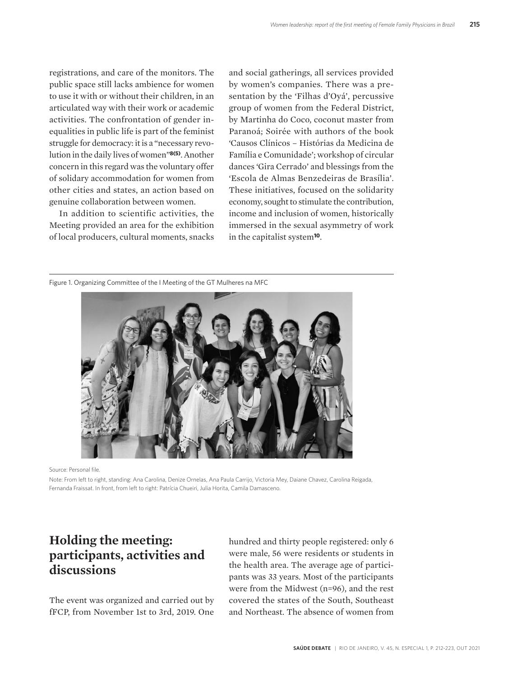registrations, and care of the monitors. The public space still lacks ambience for women to use it with or without their children, in an articulated way with their work or academic activities. The confrontation of gender inequalities in public life is part of the feminist struggle for democracy: it is a "necessary revolution in the daily lives of women"**8(5)**. Another concern in this regard was the voluntary offer of solidary accommodation for women from other cities and states, an action based on genuine collaboration between women.

In addition to scientific activities, the Meeting provided an area for the exhibition of local producers, cultural moments, snacks

and social gatherings, all services provided by women's companies. There was a presentation by the 'Filhas d'Oyá', percussive group of women from the Federal District, by Martinha do Coco, coconut master from Paranoá; Soirée with authors of the book 'Causos Clínicos – Histórias da Medicina de Família e Comunidade'; workshop of circular dances 'Gira Cerrado' and blessings from the 'Escola de Almas Benzedeiras de Brasília'. These initiatives, focused on the solidarity economy, sought to stimulate the contribution, income and inclusion of women, historically immersed in the sexual asymmetry of work in the capitalist system**10**.

Figure 1. Organizing Committee of the I Meeting of the GT Mulheres na MFC



Source: Personal file.

Note: From left to right, standing: Ana Carolina, Denize Ornelas, Ana Paula Carrijo, Victoria Mey, Daiane Chavez, Carolina Reigada, Fernanda Fraissat. In front, from left to right: Patrícia Chueiri, Julia Horita, Camila Damasceno.

# **Holding the meeting: participants, activities and discussions**

The event was organized and carried out by fFCP, from November 1st to 3rd, 2019. One hundred and thirty people registered: only 6 were male, 56 were residents or students in the health area. The average age of participants was 33 years. Most of the participants were from the Midwest (n=96), and the rest covered the states of the South, Southeast and Northeast. The absence of women from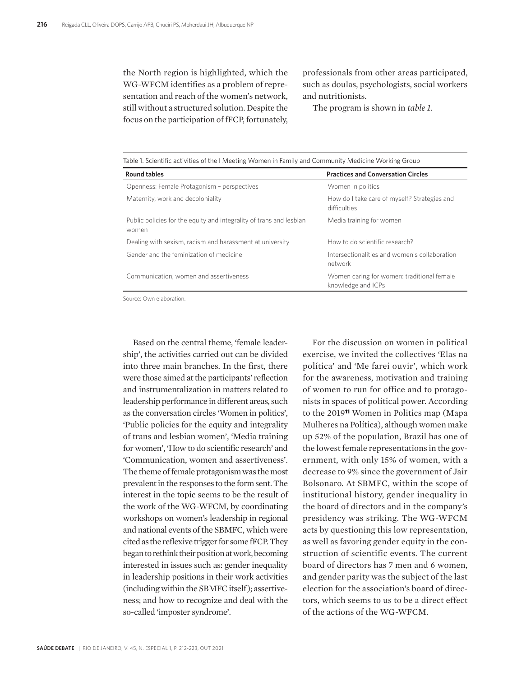the North region is highlighted, which the WG-WFCM identifies as a problem of representation and reach of the women's network, still without a structured solution. Despite the focus on the participation of fFCP, fortunately,

professionals from other areas participated, such as doulas, psychologists, social workers and nutritionists.

The program is shown in *table 1*.

| <b>Round tables</b>                                                          | <b>Practices and Conversation Circles</b>                        |
|------------------------------------------------------------------------------|------------------------------------------------------------------|
| Openness: Female Protagonism - perspectives                                  | Women in politics                                                |
| Maternity, work and decoloniality                                            | How do I take care of myself? Strategies and<br>difficulties     |
| Public policies for the equity and integrality of trans and lesbian<br>women | Media training for women                                         |
| Dealing with sexism, racism and harassment at university                     | How to do scientific research?                                   |
| Gender and the feminization of medicine                                      | Intersectionalities and women's collaboration<br>network         |
| Communication, women and assertiveness                                       | Women caring for women: traditional female<br>knowledge and ICPs |

Source: Own elaboration.

Based on the central theme, 'female leadership', the activities carried out can be divided into three main branches. In the first, there were those aimed at the participants' reflection and instrumentalization in matters related to leadership performance in different areas, such as the conversation circles 'Women in politics', 'Public policies for the equity and integrality of trans and lesbian women', 'Media training for women', 'How to do scientific research' and 'Communication, women and assertiveness'. The theme of female protagonism was the most prevalent in the responses to the form sent. The interest in the topic seems to be the result of the work of the WG-WFCM, by coordinating workshops on women's leadership in regional and national events of the SBMFC, which were cited as the reflexive trigger for some fFCP. They began to rethink their position at work, becoming interested in issues such as: gender inequality in leadership positions in their work activities (including within the SBMFC itself ); assertiveness; and how to recognize and deal with the so-called 'imposter syndrome'.

For the discussion on women in political exercise, we invited the collectives 'Elas na política' and 'Me farei ouvir', which work for the awareness, motivation and training of women to run for office and to protagonists in spaces of political power. According to the 2019**11** Women in Politics map (Mapa Mulheres na Política), although women make up 52% of the population, Brazil has one of the lowest female representations in the government, with only 15% of women, with a decrease to 9% since the government of Jair Bolsonaro. At SBMFC, within the scope of institutional history, gender inequality in the board of directors and in the company's presidency was striking. The WG-WFCM acts by questioning this low representation, as well as favoring gender equity in the construction of scientific events. The current board of directors has 7 men and 6 women, and gender parity was the subject of the last election for the association's board of directors, which seems to us to be a direct effect of the actions of the WG-WFCM.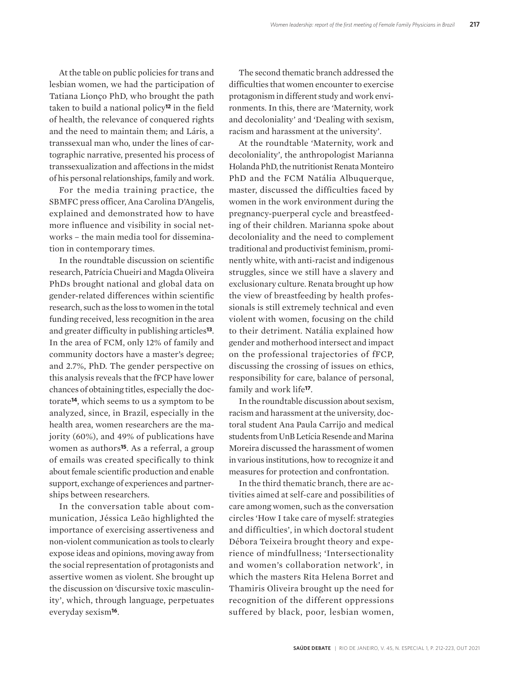At the table on public policies for trans and lesbian women, we had the participation of Tatiana Lionço PhD, who brought the path taken to build a national policy**12** in the field of health, the relevance of conquered rights and the need to maintain them; and Láris, a transsexual man who, under the lines of cartographic narrative, presented his process of transsexualization and affections in the midst of his personal relationships, family and work.

For the media training practice, the SBMFC press officer, Ana Carolina D'Angelis, explained and demonstrated how to have more influence and visibility in social networks – the main media tool for dissemination in contemporary times.

In the roundtable discussion on scientific research, Patrícia Chueiri and Magda Oliveira PhDs brought national and global data on gender-related differences within scientific research, such as the loss to women in the total funding received, less recognition in the area and greater difficulty in publishing articles**13**. In the area of FCM, only 12% of family and community doctors have a master's degree; and 2.7%, PhD. The gender perspective on this analysis reveals that the fFCP have lower chances of obtaining titles, especially the doctorate**14**, which seems to us a symptom to be analyzed, since, in Brazil, especially in the health area, women researchers are the majority (60%), and 49% of publications have women as authors**15**. As a referral, a group of emails was created specifically to think about female scientific production and enable support, exchange of experiences and partnerships between researchers.

In the conversation table about communication, Jéssica Leão highlighted the importance of exercising assertiveness and non-violent communication as tools to clearly expose ideas and opinions, moving away from the social representation of protagonists and assertive women as violent. She brought up the discussion on 'discursive toxic masculinity', which, through language, perpetuates everyday sexism**16**.

The second thematic branch addressed the difficulties that women encounter to exercise protagonism in different study and work environments. In this, there are 'Maternity, work and decoloniality' and 'Dealing with sexism, racism and harassment at the university'.

At the roundtable 'Maternity, work and decoloniality', the anthropologist Marianna Holanda PhD, the nutritionist Renata Monteiro PhD and the FCM Natália Albuquerque, master, discussed the difficulties faced by women in the work environment during the pregnancy-puerperal cycle and breastfeeding of their children. Marianna spoke about decoloniality and the need to complement traditional and productivist feminism, prominently white, with anti-racist and indigenous struggles, since we still have a slavery and exclusionary culture. Renata brought up how the view of breastfeeding by health professionals is still extremely technical and even violent with women, focusing on the child to their detriment. Natália explained how gender and motherhood intersect and impact on the professional trajectories of fFCP, discussing the crossing of issues on ethics, responsibility for care, balance of personal, family and work life**17**.

In the roundtable discussion about sexism, racism and harassment at the university, doctoral student Ana Paula Carrijo and medical students from UnB Letícia Resende and Marina Moreira discussed the harassment of women in various institutions, how to recognize it and measures for protection and confrontation.

In the third thematic branch, there are activities aimed at self-care and possibilities of care among women, such as the conversation circles 'How I take care of myself: strategies and difficulties', in which doctoral student Débora Teixeira brought theory and experience of mindfullness; 'Intersectionality and women's collaboration network', in which the masters Rita Helena Borret and Thamiris Oliveira brought up the need for recognition of the different oppressions suffered by black, poor, lesbian women,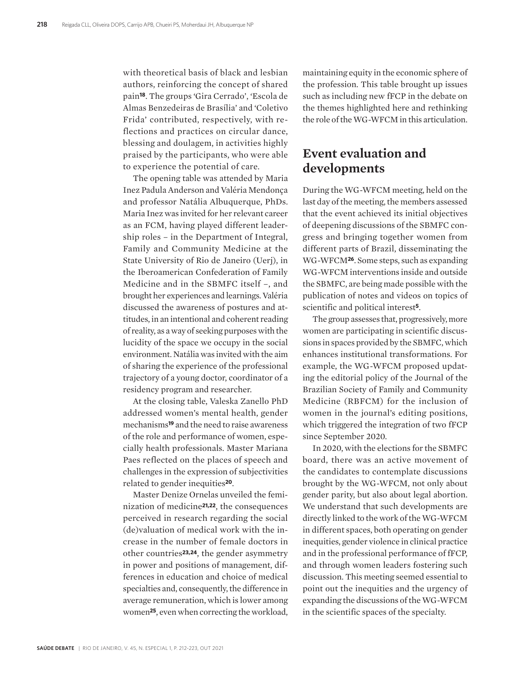with theoretical basis of black and lesbian authors, reinforcing the concept of shared pain**18**. The groups 'Gira Cerrado', 'Escola de Almas Benzedeiras de Brasília' and 'Coletivo Frida' contributed, respectively, with reflections and practices on circular dance, blessing and doulagem, in activities highly praised by the participants, who were able to experience the potential of care.

The opening table was attended by Maria Inez Padula Anderson and Valéria Mendonça and professor Natália Albuquerque, PhDs. Maria Inez was invited for her relevant career as an FCM, having played different leadership roles – in the Department of Integral, Family and Community Medicine at the State University of Rio de Janeiro (Uerj), in the Iberoamerican Confederation of Family Medicine and in the SBMFC itself –, and brought her experiences and learnings. Valéria discussed the awareness of postures and attitudes, in an intentional and coherent reading of reality, as a way of seeking purposes with the lucidity of the space we occupy in the social environment. Natália was invited with the aim of sharing the experience of the professional trajectory of a young doctor, coordinator of a residency program and researcher.

At the closing table, Valeska Zanello PhD addressed women's mental health, gender mechanisms**19** and the need to raise awareness of the role and performance of women, especially health professionals. Master Mariana Paes reflected on the places of speech and challenges in the expression of subjectivities related to gender inequities**20**.

Master Denize Ornelas unveiled the feminization of medicine**21,22**, the consequences perceived in research regarding the social (de)valuation of medical work with the increase in the number of female doctors in other countries**23,24**, the gender asymmetry in power and positions of management, differences in education and choice of medical specialties and, consequently, the difference in average remuneration, which is lower among women**25**, even when correcting the workload,

maintaining equity in the economic sphere of the profession. This table brought up issues such as including new fFCP in the debate on the themes highlighted here and rethinking the role of the WG-WFCM in this articulation.

## **Event evaluation and developments**

During the WG-WFCM meeting, held on the last day of the meeting, the members assessed that the event achieved its initial objectives of deepening discussions of the SBMFC congress and bringing together women from different parts of Brazil, disseminating the WG-WFCM**26**. Some steps, such as expanding WG-WFCM interventions inside and outside the SBMFC, are being made possible with the publication of notes and videos on topics of scientific and political interest**5**.

The group assesses that, progressively, more women are participating in scientific discussions in spaces provided by the SBMFC, which enhances institutional transformations. For example, the WG-WFCM proposed updating the editorial policy of the Journal of the Brazilian Society of Family and Community Medicine (RBFCM) for the inclusion of women in the journal's editing positions, which triggered the integration of two fFCP since September 2020.

In 2020, with the elections for the SBMFC board, there was an active movement of the candidates to contemplate discussions brought by the WG-WFCM, not only about gender parity, but also about legal abortion. We understand that such developments are directly linked to the work of the WG-WFCM in different spaces, both operating on gender inequities, gender violence in clinical practice and in the professional performance of fFCP, and through women leaders fostering such discussion. This meeting seemed essential to point out the inequities and the urgency of expanding the discussions of the WG-WFCM in the scientific spaces of the specialty.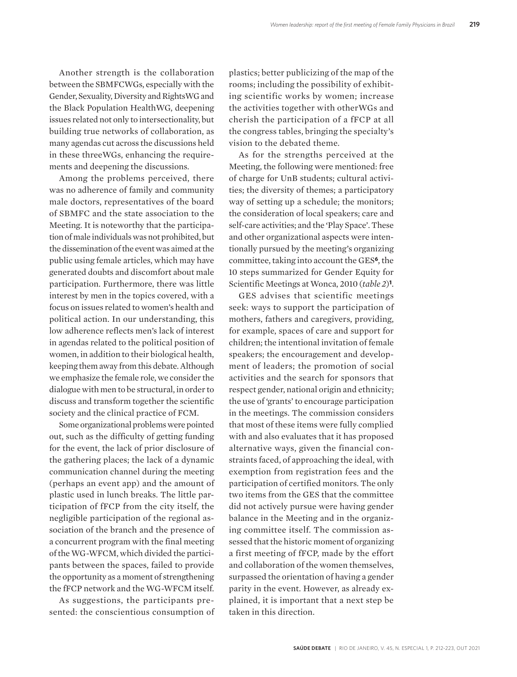Another strength is the collaboration between the SBMFCWGs, especially with the Gender, Sexuality, Diversity and RightsWG and the Black Population HealthWG, deepening issues related not only to intersectionality, but building true networks of collaboration, as many agendas cut across the discussions held in these threeWGs, enhancing the requirements and deepening the discussions.

Among the problems perceived, there was no adherence of family and community male doctors, representatives of the board of SBMFC and the state association to the Meeting. It is noteworthy that the participation of male individuals was not prohibited, but the dissemination of the event was aimed at the public using female articles, which may have generated doubts and discomfort about male participation. Furthermore, there was little interest by men in the topics covered, with a focus on issues related to women's health and political action. In our understanding, this low adherence reflects men's lack of interest in agendas related to the political position of women, in addition to their biological health, keeping them away from this debate. Although we emphasize the female role, we consider the dialogue with men to be structural, in order to discuss and transform together the scientific society and the clinical practice of FCM.

Some organizational problems were pointed out, such as the difficulty of getting funding for the event, the lack of prior disclosure of the gathering places; the lack of a dynamic communication channel during the meeting (perhaps an event app) and the amount of plastic used in lunch breaks. The little participation of fFCP from the city itself, the negligible participation of the regional association of the branch and the presence of a concurrent program with the final meeting of the WG-WFCM, which divided the participants between the spaces, failed to provide the opportunity as a moment of strengthening the fFCP network and the WG-WFCM itself.

As suggestions, the participants presented: the conscientious consumption of

plastics; better publicizing of the map of the rooms; including the possibility of exhibiting scientific works by women; increase the activities together with otherWGs and cherish the participation of a fFCP at all the congress tables, bringing the specialty's vision to the debated theme.

As for the strengths perceived at the Meeting, the following were mentioned: free of charge for UnB students; cultural activities; the diversity of themes; a participatory way of setting up a schedule; the monitors; the consideration of local speakers; care and self-care activities; and the 'Play Space'. These and other organizational aspects were intentionally pursued by the meeting's organizing committee, taking into account the GES**6**, the 10 steps summarized for Gender Equity for Scientific Meetings at Wonca, 2010 (*table 2*)**1**.

GES advises that scientific meetings seek: ways to support the participation of mothers, fathers and caregivers, providing, for example, spaces of care and support for children; the intentional invitation of female speakers; the encouragement and development of leaders; the promotion of social activities and the search for sponsors that respect gender, national origin and ethnicity; the use of 'grants' to encourage participation in the meetings. The commission considers that most of these items were fully complied with and also evaluates that it has proposed alternative ways, given the financial constraints faced, of approaching the ideal, with exemption from registration fees and the participation of certified monitors. The only two items from the GES that the committee did not actively pursue were having gender balance in the Meeting and in the organizing committee itself. The commission assessed that the historic moment of organizing a first meeting of fFCP, made by the effort and collaboration of the women themselves, surpassed the orientation of having a gender parity in the event. However, as already explained, it is important that a next step be taken in this direction.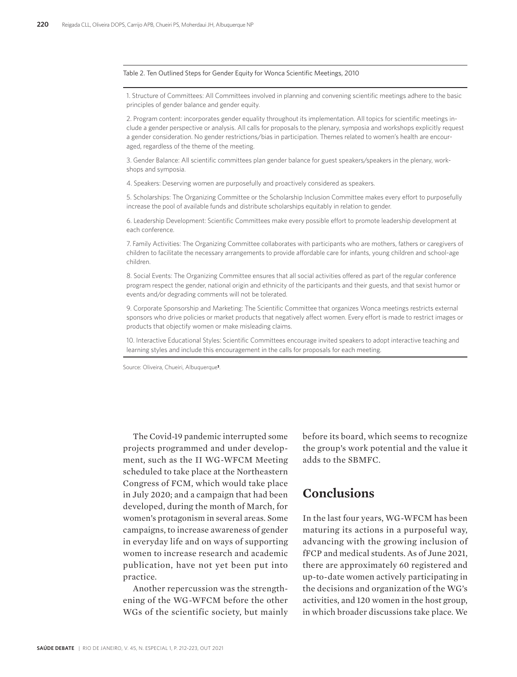#### Table 2. Ten Outlined Steps for Gender Equity for Wonca Scientific Meetings, 2010

1. Structure of Committees: All Committees involved in planning and convening scientific meetings adhere to the basic principles of gender balance and gender equity.

2. Program content: incorporates gender equality throughout its implementation. All topics for scientific meetings include a gender perspective or analysis. All calls for proposals to the plenary, symposia and workshops explicitly request a gender consideration. No gender restrictions/bias in participation. Themes related to women's health are encouraged, regardless of the theme of the meeting.

3. Gender Balance: All scientific committees plan gender balance for guest speakers/speakers in the plenary, workshops and symposia.

4. Speakers: Deserving women are purposefully and proactively considered as speakers.

5. Scholarships: The Organizing Committee or the Scholarship Inclusion Committee makes every effort to purposefully increase the pool of available funds and distribute scholarships equitably in relation to gender.

6. Leadership Development: Scientific Committees make every possible effort to promote leadership development at each conference.

7. Family Activities: The Organizing Committee collaborates with participants who are mothers, fathers or caregivers of children to facilitate the necessary arrangements to provide affordable care for infants, young children and school-age children.

8. Social Events: The Organizing Committee ensures that all social activities offered as part of the regular conference program respect the gender, national origin and ethnicity of the participants and their guests, and that sexist humor or events and/or degrading comments will not be tolerated.

9. Corporate Sponsorship and Marketing: The Scientific Committee that organizes Wonca meetings restricts external sponsors who drive policies or market products that negatively affect women. Every effort is made to restrict images or products that objectify women or make misleading claims.

10. Interactive Educational Styles: Scientific Committees encourage invited speakers to adopt interactive teaching and learning styles and include this encouragement in the calls for proposals for each meeting.

Source: Oliveira, Chueiri, Albuquerque**1**.

The Covid-19 pandemic interrupted some projects programmed and under development, such as the II WG-WFCM Meeting scheduled to take place at the Northeastern Congress of FCM, which would take place in July 2020; and a campaign that had been developed, during the month of March, for women's protagonism in several areas. Some campaigns, to increase awareness of gender in everyday life and on ways of supporting women to increase research and academic publication, have not yet been put into practice.

Another repercussion was the strengthening of the WG-WFCM before the other WGs of the scientific society, but mainly before its board, which seems to recognize the group's work potential and the value it adds to the SBMFC.

### **Conclusions**

In the last four years, WG-WFCM has been maturing its actions in a purposeful way, advancing with the growing inclusion of fFCP and medical students. As of June 2021, there are approximately 60 registered and up-to-date women actively participating in the decisions and organization of the WG's activities, and 120 women in the host group, in which broader discussions take place. We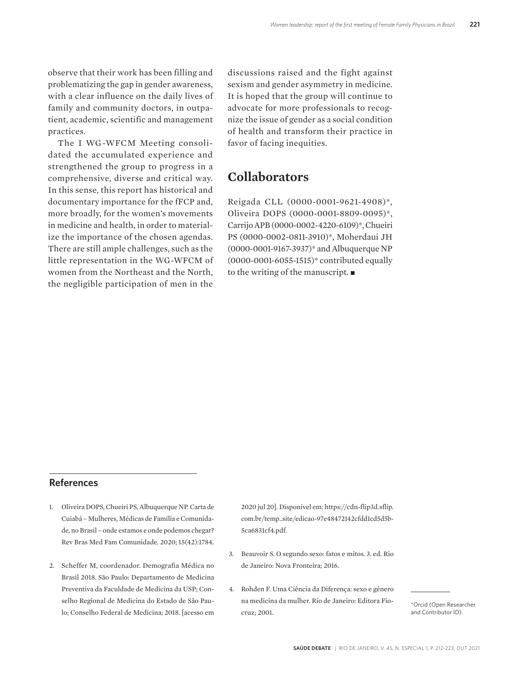observe that their work has been filling and problematizing the gap in gender awareness, with a clear influence on the daily lives of family and community doctors, in outpatient, academic, scientific and management practices.

The I WG-WFCM Meeting consolidated the accumulated experience and strengthened the group to progress in a comprehensive, diverse and critical way. In this sense, this report has historical and documentary importance for the fFCP and, more broadly, for the women's movements in medicine and health, in order to materialize the importance of the chosen agendas. There are still ample challenges, such as the little representation in the WG-WFCM of women from the Northeast and the North, the negligible participation of men in the

discussions raised and the fight against sexism and gender asymmetry in medicine. It is hoped that the group will continue to advocate for more professionals to recognize the issue of gender as a social condition of health and transform their practice in favor of facing inequities.

#### **Collaborators**

Reigada CLL (0000-0001-9621-4908)\*, Oliveira DOPS (0000-0001-8809-0095)\*, Carrijo APB (0000-0002-4220-6109)\*, Chueiri PS (0000-0002-0811-3910)\*, Moherdaui JH (0000-0001-9167-3937)\* and Albuquerque NP (0000-0001-6055-1515)\* contributed equally to the writing of the manuscript.  $\blacksquare$ 

#### **References**

- 1. Oliveira DOPS, Chueiri PS, Albuquerque NP. Carta de Cuiabá – Mulheres, Médicas de Família e Comunidade, no Brasil – onde estamos e onde podemos chegar? Rev Bras Med Fam Comunidade. 2020; 15(42):1784.
- 2. Scheffer M, coordenador. Demografia Médica no Brasil 2018. São Paulo: Departamento de Medicina Preventiva da Faculdade de Medicina da USP; Conselho Regional de Medicina do Estado de São Paulo; Conselho Federal de Medicina; 2018. [acesso em

2020 jul 20]. Disponível em: https://cdn-flip3d.sflip. com.br/temp\_site/edicao-97e48472142cfdd1cd5d5b-5ca6831cf4.pdf.

- 3. Beauvoir S. O segundo sexo: fatos e mitos. 3. ed. Rio de Janeiro: Nova Fronteira; 2016.
- 4. Rohden F. Uma Ciência da Diferença: sexo e gênero na medicina da mulher. Rio de Janeiro: Editora Fiocruz; 2001.

\*Orcid (Open Researcher and Contributor ID).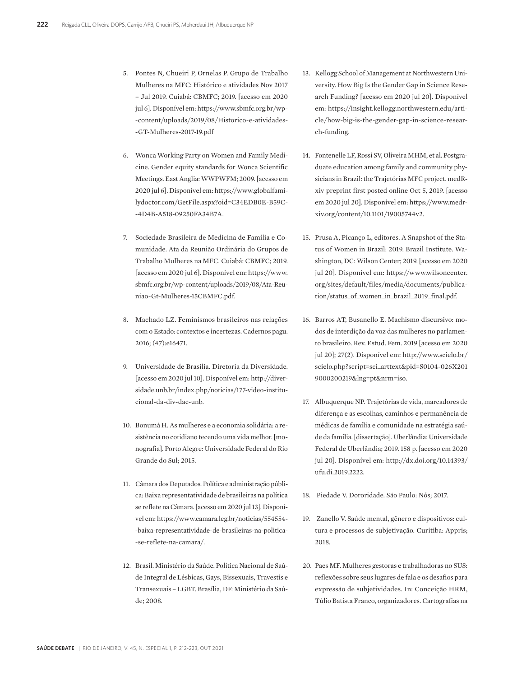- 5. Pontes N, Chueiri P, Ornelas P. Grupo de Trabalho Mulheres na MFC: Histórico e atividades Nov 2017 – Jul 2019. Cuiabá: CBMFC; 2019. [acesso em 2020 jul 6]. Disponível em: https://www.sbmfc.org.br/wp- -content/uploads/2019/08/Historico-e-atividades- -GT-Mulheres-2017-19.pdf
- 6. Wonca Working Party on Women and Family Medicine. Gender equity standards for Wonca Scientific Meetings. East Anglia: WWPWFM; 2009. [acesso em 2020 jul 6]. Disponível em: https://www.globalfamilydoctor.com/GetFile.aspx?oid=C34EDB0E-B59C- -4D4B-A518-09250FA34B7A.
- 7. Sociedade Brasileira de Medicina de Família e Comunidade. Ata da Reunião Ordinária do Grupos de Trabalho Mulheres na MFC. Cuiabá: CBMFC; 2019. [acesso em 2020 jul 6]. Disponível em: https://www. sbmfc.org.br/wp-content/uploads/2019/08/Ata-Reuniao-Gt-Mulheres-15CBMFC.pdf.
- 8. Machado LZ. Feminismos brasileiros nas relações com o Estado: contextos e incertezas. Cadernos pagu. 2016; (47):e16471.
- 9. Universidade de Brasília. Diretoria da Diversidade. [acesso em 2020 jul 10]. Disponível em: http://diversidade.unb.br/index.php/noticias/177-video-institucional-da-div-dac-unb.
- 10. Bonumá H. As mulheres e a economia solidária: a resistência no cotidiano tecendo uma vida melhor. [monografia]. Porto Alegre: Universidade Federal do Rio Grande do Sul; 2015.
- 11. Câmara dos Deputados. Política e administração pública: Baixa representatividade de brasileiras na política se reflete na Câmara. [acesso em 2020 jul 13]. Disponível em: https://www.camara.leg.br/noticias/554554- -baixa-representatividade-de-brasileiras-na-politica- -se-reflete-na-camara/.
- 12. Brasil. Ministério da Saúde. Política Nacional de Saúde Integral de Lésbicas, Gays, Bissexuais, Travestis e Transexuais – LGBT. Brasília, DF: Ministério da Saúde; 2008.
- 13. Kellogg School of Management at Northwestern University. How Big Is the Gender Gap in Science Research Funding? [acesso em 2020 jul 20]. Disponível em: https://insight.kellogg.northwestern.edu/article/how-big-is-the-gender-gap-in-science-research-funding.
- 14. Fontenelle LF, Rossi SV, Oliveira MHM, et al. Postgraduate education among family and community physicians in Brazil: the Trajetórias MFC project. medRxiv preprint first posted online Oct 5, 2019. [acesso em 2020 jul 20]. Disponível em: https://www.medrxiv.org/content/10.1101/19005744v2.
- 15. Prusa A, Picanço L, editores. A Snapshot of the Status of Women in Brazil: 2019. Brazil Institute. Washington, DC: Wilson Center; 2019. [acesso em 2020 jul 20]. Disponível em: https://www.wilsoncenter. org/sites/default/files/media/documents/publication/status\_of\_women\_in\_brazil\_2019\_final.pdf.
- 16. Barros AT, Busanello E. Machismo discursivo: modos de interdição da voz das mulheres no parlamento brasileiro. Rev. Estud. Fem. 2019 [acesso em 2020 jul 20]; 27(2). Disponível em: http://www.scielo.br/ scielo.php?script=sci\_arttext&pid=S0104-026X201 9000200219&lng=pt&nrm=iso.
- 17. Albuquerque NP. Trajetórias de vida, marcadores de diferença e as escolhas, caminhos e permanência de médicas de família e comunidade na estratégia saúde da família. [dissertação]. Uberlândia: Universidade Federal de Uberlândia; 2019. 158 p. [acesso em 2020 jul 20]. Disponível em: http://dx.doi.org/10.14393/ ufu.di.2019.2222.
- 18. Piedade V. Dororidade. São Paulo: Nós; 2017.
- 19. Zanello V. Saúde mental, gênero e dispositivos: cultura e processos de subjetivação. Curitiba: Appris; 2018.
- 20. Paes MF. Mulheres gestoras e trabalhadoras no SUS: reflexões sobre seus lugares de fala e os desafios para expressão de subjetividades. In: Conceição HRM, Túlio Batista Franco, organizadores. Cartografias na